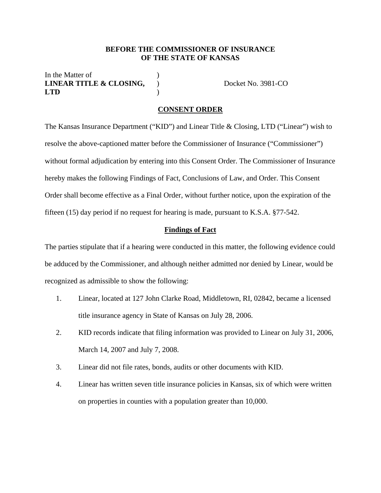#### **BEFORE THE COMMISSIONER OF INSURANCE OF THE STATE OF KANSAS**

In the Matter of **LINEAR TITLE & CLOSING,**  ) Docket No. 3981-CO **LTD** )

#### **CONSENT ORDER**

The Kansas Insurance Department ("KID") and Linear Title & Closing, LTD ("Linear") wish to resolve the above-captioned matter before the Commissioner of Insurance ("Commissioner") without formal adjudication by entering into this Consent Order. The Commissioner of Insurance hereby makes the following Findings of Fact, Conclusions of Law, and Order. This Consent Order shall become effective as a Final Order, without further notice, upon the expiration of the fifteen (15) day period if no request for hearing is made, pursuant to K.S.A. §77-542.

#### **Findings of Fact**

The parties stipulate that if a hearing were conducted in this matter, the following evidence could be adduced by the Commissioner, and although neither admitted nor denied by Linear, would be recognized as admissible to show the following:

- 1. Linear, located at 127 John Clarke Road, Middletown, RI, 02842, became a licensed title insurance agency in State of Kansas on July 28, 2006.
- 2. KID records indicate that filing information was provided to Linear on July 31, 2006, March 14, 2007 and July 7, 2008.
- 3. Linear did not file rates, bonds, audits or other documents with KID.
- 4. Linear has written seven title insurance policies in Kansas, six of which were written on properties in counties with a population greater than 10,000.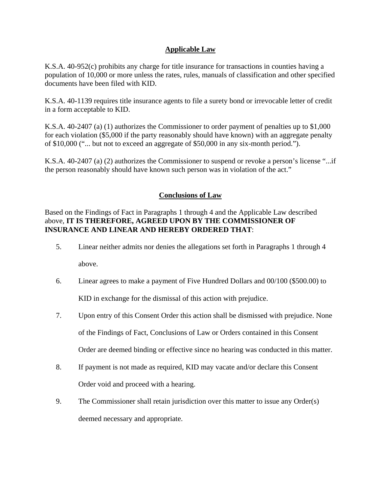# **Applicable Law**

K.S.A. 40-952(c) prohibits any charge for title insurance for transactions in counties having a population of 10,000 or more unless the rates, rules, manuals of classification and other specified documents have been filed with KID.

K.S.A. 40-1139 requires title insurance agents to file a surety bond or irrevocable letter of credit in a form acceptable to KID.

K.S.A. 40-2407 (a) (1) authorizes the Commissioner to order payment of penalties up to \$1,000 for each violation (\$5,000 if the party reasonably should have known) with an aggregate penalty of \$10,000 ("... but not to exceed an aggregate of \$50,000 in any six-month period.").

K.S.A. 40-2407 (a) (2) authorizes the Commissioner to suspend or revoke a person's license "...if the person reasonably should have known such person was in violation of the act."

# **Conclusions of Law**

Based on the Findings of Fact in Paragraphs 1 through 4 and the Applicable Law described above, **IT IS THEREFORE, AGREED UPON BY THE COMMISSIONER OF INSURANCE AND LINEAR AND HEREBY ORDERED THAT**:

- 5. Linear neither admits nor denies the allegations set forth in Paragraphs 1 through 4 above.
- 6. Linear agrees to make a payment of Five Hundred Dollars and 00/100 (\$500.00) to KID in exchange for the dismissal of this action with prejudice.
- 7. Upon entry of this Consent Order this action shall be dismissed with prejudice. None of the Findings of Fact, Conclusions of Law or Orders contained in this Consent Order are deemed binding or effective since no hearing was conducted in this matter.
- 8. If payment is not made as required, KID may vacate and/or declare this Consent Order void and proceed with a hearing.
- 9. The Commissioner shall retain jurisdiction over this matter to issue any Order(s) deemed necessary and appropriate.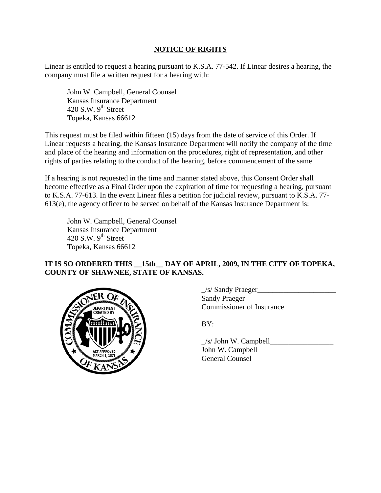# **NOTICE OF RIGHTS**

Linear is entitled to request a hearing pursuant to K.S.A. 77-542. If Linear desires a hearing, the company must file a written request for a hearing with:

 John W. Campbell, General Counsel Kansas Insurance Department 420 S.W.  $9<sup>th</sup>$  Street Topeka, Kansas 66612

This request must be filed within fifteen (15) days from the date of service of this Order. If Linear requests a hearing, the Kansas Insurance Department will notify the company of the time and place of the hearing and information on the procedures, right of representation, and other rights of parties relating to the conduct of the hearing, before commencement of the same.

If a hearing is not requested in the time and manner stated above, this Consent Order shall become effective as a Final Order upon the expiration of time for requesting a hearing, pursuant to K.S.A. 77-613. In the event Linear files a petition for judicial review, pursuant to K.S.A. 77- 613(e), the agency officer to be served on behalf of the Kansas Insurance Department is:

 John W. Campbell, General Counsel Kansas Insurance Department 420 S.W.  $9<sup>th</sup>$  Street Topeka, Kansas 66612

## IT IS SO ORDERED THIS **15th DAY OF APRIL, 2009, IN THE CITY OF TOPEKA, COUNTY OF SHAWNEE, STATE OF KANSAS.**



 $\angle$ s/ Sandy Praeger $\angle$  Sandy Praeger ARTMENT COMMISSIONER OF Insurance

 $\angle$ s/ John W. Campbell $\angle$  John W. Campbell General Counsel